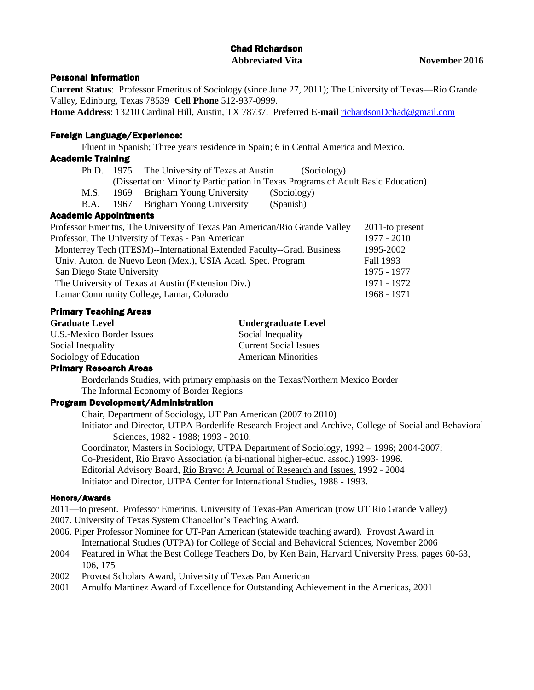## Chad Richardson **Abbreviated Vita November 2016**

#### Personal Information

**Current Status**: Professor Emeritus of Sociology (since June 27, 2011); The University of Texas—Rio Grande Valley, Edinburg, Texas 78539 **Cell Phone** 512-937-0999.

**Home Address**: 13210 Cardinal Hill, Austin, TX 78737. Preferred **E-mail** [richardsonDchad@gmail.com](mailto:richardsonDchad@gmail.com)

### Foreign Language/Experience:

Fluent in Spanish; Three years residence in Spain; 6 in Central America and Mexico.

### Academic Training

- Ph.D. 1975 The University of Texas at Austin (Sociology) (Dissertation: Minority Participation in Texas Programs of Adult Basic Education) M.S. 1969 Brigham Young University (Sociology)
- B.A. 1967 Brigham Young University (Spanish)

## Academic Appointments Professor Emeritus, The University of Texas Pan American/Rio Grande Valley 2011-to present Professor, The University of Texas - Pan American 1977 - 2010 Monterrey Tech (ITESM)--International Extended Faculty--Grad. Business 1995-2002 Univ. Auton. de Nuevo Leon (Mex.), USIA Acad. Spec. Program Fall 1993 San Diego State University 1975 - 1977 The University of Texas at Austin (Extension Div.) 1971 - 1972 Lamar Community College, Lamar, Colorado 1968 - 1971

### Primary Teaching Areas

| <b>Graduate Level</b>     | <b>Undergraduate Level</b>   |
|---------------------------|------------------------------|
| U.S.-Mexico Border Issues | Social Inequality            |
| Social Inequality         | <b>Current Social Issues</b> |
| Sociology of Education    | <b>American Minorities</b>   |
| Drimam: Danaarah Araaa    |                              |

#### Primary Research Areas

Borderlands Studies, with primary emphasis on the Texas/Northern Mexico Border The Informal Economy of Border Regions

# Program Development/Administration

Chair, Department of Sociology, UT Pan American (2007 to 2010) Initiator and Director, UTPA Borderlife Research Project and Archive, College of Social and Behavioral Sciences, 1982 - 1988; 1993 - 2010. Coordinator, Masters in Sociology, UTPA Department of Sociology, 1992 – 1996; 2004-2007;

Co-President, Rio Bravo Association (a bi-national higher-educ. assoc.) 1993- 1996. Editorial Advisory Board, Rio Bravo: A Journal of Research and Issues. 1992 - 2004 Initiator and Director, UTPA Center for International Studies, 1988 - 1993.

#### Honors/Awards

- 2011—to present. Professor Emeritus, University of Texas-Pan American (now UT Rio Grande Valley)
- 2007. University of Texas System Chancellor's Teaching Award.
- 2006. Piper Professor Nominee for UT-Pan American (statewide teaching award). Provost Award in International Studies (UTPA) for College of Social and Behavioral Sciences, November 2006
- 2004 Featured in What the Best College Teachers Do, by Ken Bain, Harvard University Press, pages 60-63, 106, 175
- 2002 Provost Scholars Award, University of Texas Pan American
- 2001 Arnulfo Martinez Award of Excellence for Outstanding Achievement in the Americas, 2001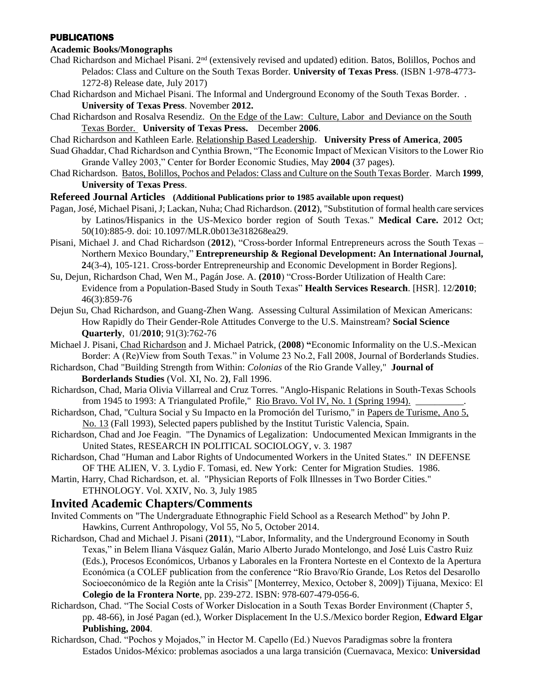#### PUBLICATIONS

# **Academic Books/Monographs**

- Chad Richardson and Michael Pisani. 2nd (extensively revised and updated) edition. Batos, Bolillos, Pochos and Pelados: Class and Culture on the South Texas Border. **University of Texas Press**. (ISBN 1-978-4773- 1272-8) Release date, July 2017)
- Chad Richardson and Michael Pisani. The Informal and Underground Economy of the South Texas Border. . **University of Texas Press**. November **2012.**
- Chad Richardson and Rosalva Resendiz. On the Edge of the Law: Culture, Labor and Deviance on the South Texas Border. **University of Texas Press.** December **2006**.
- Chad Richardson and Kathleen Earle. Relationship Based Leadership. **University Press of America**, **2005**
- Suad Ghaddar, Chad Richardson and Cynthia Brown, "The Economic Impact of Mexican Visitors to the Lower Rio Grande Valley 2003," Center for Border Economic Studies, May **2004** (37 pages).
- Chad Richardson. Batos, Bolillos, Pochos and Pelados: Class and Culture on the South Texas Border. March **1999**, **University of Texas Press**.

#### **Refereed Journal Articles (Additional Publications prior to 1985 available upon request)**

- Pagan, José, Michael Pisani, J; Lackan, Nuha; Chad Richardson. (**2012**), "Substitution of formal health care services by Latinos/Hispanics in the US-Mexico border region of South Texas." **Medical Care.** 2012 Oct; 50(10):885-9. doi: 10.1097/MLR.0b013e318268ea29.
- Pisani, Michael J. and Chad Richardson (**2012**), "Cross-border Informal Entrepreneurs across the South Texas Northern Mexico Boundary," **Entrepreneurship & Regional Development: An International Journal, 2**4(3-4), 105-121. Cross-border Entrepreneurship and Economic Development in Border Regions].
- Su, Dejun, Richardson Chad, Wen M., Pagán Jose. A. **(2010**) "Cross-Border Utilization of Health Care: Evidence from a Population-Based Study in South Texas" **Health Services Research**. [HSR]. 12/**2010**; 46(3):859-76
- Dejun Su, Chad Richardson, and Guang-Zhen Wang. Assessing Cultural Assimilation of Mexican Americans: How Rapidly do Their Gender-Role Attitudes Converge to the U.S. Mainstream? **Social Science Quarterly**, 01/**2010**; 91(3):762-76
- Michael J. Pisani, Chad Richardson and J. Michael Patrick, (**2008**) **"**Economic Informality on the U.S.-Mexican Border: A (Re)View from South Texas." in Volume 23 No.2, Fall 2008, Journal of Borderlands Studies.
- Richardson, Chad "Building Strength from Within: *Colonias* of the Rio Grande Valley," **Journal of Borderlands Studies** (Vol. XI, No. 2**)**, Fall 1996.
- Richardson, Chad, Maria Olivia Villarreal and Cruz Torres. "Anglo-Hispanic Relations in South-Texas Schools from 1945 to 1993: A Triangulated Profile," Rio Bravo. Vol IV, No. 1 (Spring 1994).
- Richardson, Chad, "Cultura Social y Su Impacto en la Promoción del Turismo," in Papers de Turisme, Ano 5, No. 13 (Fall 1993), Selected papers published by the Institut Turistic Valencia, Spain.
- Richardson, Chad and Joe Feagin. "The Dynamics of Legalization: Undocumented Mexican Immigrants in the United States, RESEARCH IN POLITICAL SOCIOLOGY, v. 3. 1987
- Richardson, Chad "Human and Labor Rights of Undocumented Workers in the United States." IN DEFENSE OF THE ALIEN, V. 3. Lydio F. Tomasi, ed. New York: Center for Migration Studies. 1986.
- Martin, Harry, Chad Richardson, et. al. "Physician Reports of Folk Illnesses in Two Border Cities." ETHNOLOGY. Vol. XXIV, No. 3, July 1985

# **Invited Academic Chapters/Comments**

- Invited Comments on "The Undergraduate Ethnographic Field School as a Research Method" by John P. Hawkins, Current Anthropology, Vol 55, No 5, October 2014.
- Richardson, Chad and Michael J. Pisani (**2011**), "Labor, Informality, and the Underground Economy in South Texas," in Belem Iliana Vásquez Galán, Mario Alberto Jurado Montelongo, and José Luis Castro Ruiz (Eds.), Procesos Económicos, Urbanos y Laborales en la Frontera Norteste en el Contexto de la Apertura Económica (a COLEF publication from the conference "Río Bravo/Río Grande, Los Retos del Desarollo Socioeconómico de la Región ante la Crisis" [Monterrey, Mexico, October 8, 2009]) Tijuana, Mexico: El **Colegio de la Frontera Norte**, pp. 239-272. ISBN: 978-607-479-056-6.
- Richardson, Chad. "The Social Costs of Worker Dislocation in a South Texas Border Environment (Chapter 5, pp. 48-66), in José Pagan (ed.), Worker Displacement In the U.S./Mexico border Region, **Edward Elgar Publishing, 2004**.
- Richardson, Chad. "Pochos y Mojados," in Hector M. Capello (Ed.) Nuevos Paradigmas sobre la frontera Estados Unidos-México: problemas asociados a una larga transición (Cuernavaca, Mexico: **Universidad**